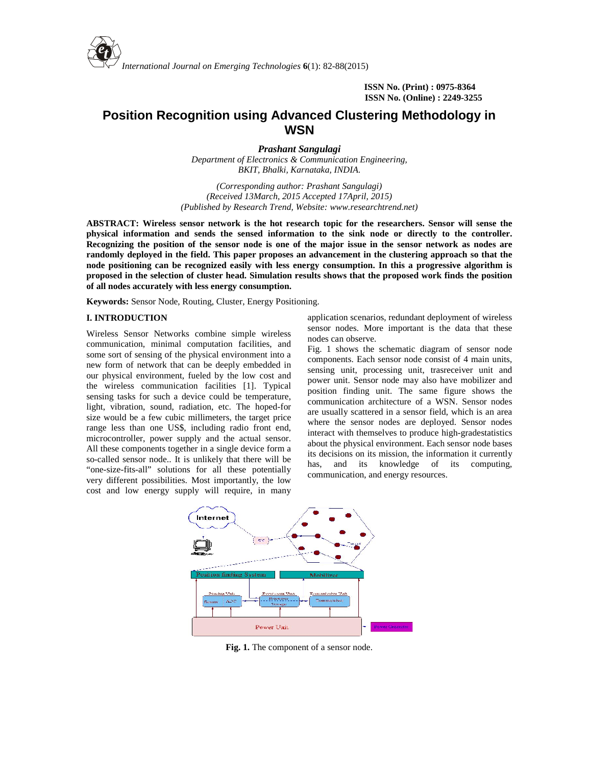

**ISSN No. (Print) : 0975-8364 ISSN No. (Online) : 2249-3255**

# **Position Recognition using Advanced Clustering Methodology in WSN**

*Prashant Sangulagi Department of Electronics & Communication Engineering, BKIT, Bhalki, Karnataka, INDIA.*

*(Corresponding author: Prashant Sangulagi) (Received 13March, 2015 Accepted 17April, 2015) (Published by Research Trend, Website: <www.researchtrend.net>)*

**ABSTRACT: Wireless sensor network is the hot research topic for the researchers. Sensor will sense the physical information and sends the sensed information to the sink node or directly to the controller. Recognizing the position of the sensor node is one of the major issue in the sensor network as nodes are randomly deployed in the field. This paper proposes an advancement in the clustering approach so that the node positioning can be recognized easily with less energy consumption. In this a progressive algorithm is proposed in the selection of cluster head. Simulation results shows that the proposed work finds the position of all nodes accurately with less energy consumption.**

**Keywords:** Sensor Node, Routing, Cluster, Energy Positioning.

## **I. INTRODUCTION**

Wireless Sensor Networks combine simple wireless communication, minimal computation facilities, and some sort of sensing of the physical environment into a new form of network that can be deeply embedded in our physical environment, fueled by the low cost and the wireless communication facilities [1]. Typical sensing tasks for such a device could be temperature, light, vibration, sound, radiation, etc. The hoped-for size would be a few cubic millimeters, the target price range less than one US\$, including radio front end, microcontroller, power supply and the actual sensor. All these components together in a single device form a so-called sensor node.. It is unlikely that there will be has. "one-size-fits-all" solutions for all these potentially very different possibilities. Most importantly, the low cost and low energy supply will require, in many

application scenarios, redundant deployment of wireless sensor nodes. More important is the data that these nodes can observe.

Fig. 1 shows the schematic diagram of sensor node components. Each sensor node consist of 4 main units, sensing unit, processing unit, trasreceiver unit and power unit. Sensor node may also have mobilizer and position finding unit. The same figure shows the communication architecture of a WSN. Sensor nodes are usually scattered in a sensor field, which is an area where the sensor nodes are deployed. Sensor nodes interact with themselves to produce high-gradestatistics about the physical environment. Each sensor node bases its decisions on its mission, the information it currently and its knowledge of its computing, communication, and energy resources.



**Fig. 1.** The component of a sensor node.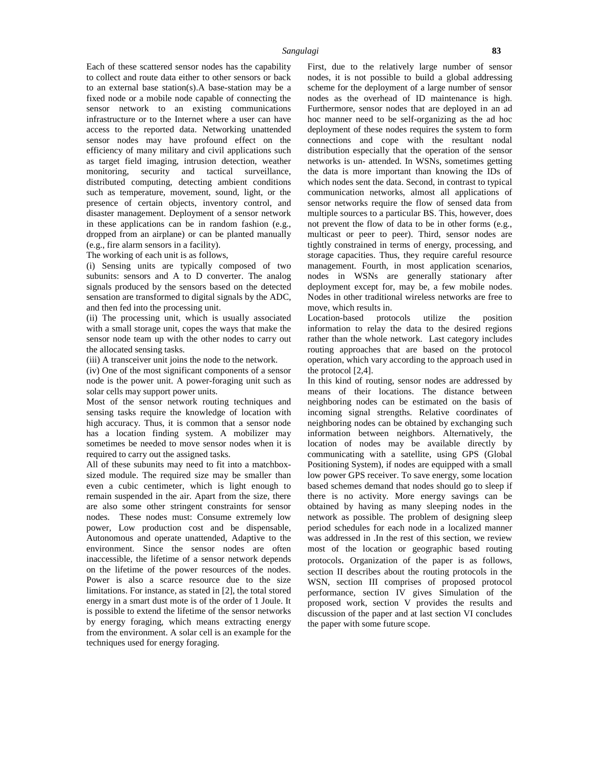Each of these scattered sensor nodes has the capability to collect and route data either to other sensors or back to an external base station(s).A base-station may be a fixed node or a mobile node capable of connecting the sensor network to an existing communications infrastructure or to the Internet where a user can have access to the reported data. Networking unattended sensor nodes may have profound effect on the efficiency of many military and civil applications such as target field imaging, intrusion detection, weather monitoring, security and tactical surveillance, distributed computing, detecting ambient conditions such as temperature, movement, sound, light, or the presence of certain objects, inventory control, and disaster management. Deployment of a sensor network in these applications can be in random fashion (e.g., dropped from an airplane) or can be planted manually (e.g., fire alarm sensors in a facility).

The working of each unit is as follows,

(i) Sensing units are typically composed of two subunits: sensors and A to D converter. The analog signals produced by the sensors based on the detected sensation are transformed to digital signals by the ADC, and then fed into the processing unit.

(ii) The processing unit, which is usually associated Location-based with a small storage unit, copes the ways that make the sensor node team up with the other nodes to carry out the allocated sensing tasks.

(iii) A transceiver unit joins the node to the network.

(iv) One of the most significant components of a sensor node is the power unit. A power-foraging unit such as solar cells may support power units.

Most of the sensor network routing techniques and sensing tasks require the knowledge of location with high accuracy. Thus, it is common that a sensor node has a location finding system. A mobilizer may sometimes be needed to move sensor nodes when it is required to carry out the assigned tasks.

All of these subunits may need to fit into a matchbox sized module. The required size may be smaller than even a cubic centimeter, which is light enough to remain suspended in the air. Apart from the size, there are also some other stringent constraints for sensor nodes. These nodes must: Consume extremely low power, Low production cost and be dispensable, Autonomous and operate unattended, Adaptive to the environment. Since the sensor nodes are often inaccessible, the lifetime of a sensor network depends on the lifetime of the power resources of the nodes. Power is also a scarce resource due to the size limitations. For instance, as stated in [2], the total stored energy in a smart dust mote is of the order of 1 Joule. It is possible to extend the lifetime of the sensor networks by energy foraging, which means extracting energy from the environment. A solar cell is an example for the techniques used for energy foraging.

First, due to the relatively large number of sensor nodes, it is not possible to build a global addressing scheme for the deployment of a large number of sensor nodes as the overhead of ID maintenance is high. Furthermore, sensor nodes that are deployed in an ad hoc manner need to be self-organizing as the ad hoc deployment of these nodes requires the system to form connections and cope with the resultant nodal distribution especially that the operation of the sensor networks is un- attended. In WSNs, sometimes getting the data is more important than knowing the IDs of which nodes sent the data. Second, in contrast to typical communication networks, almost all applications of sensor networks require the flow of sensed data from multiple sources to a particular BS. This, however, does not prevent the flow of data to be in other forms (e.g., multicast or peer to peer). Third, sensor nodes are tightly constrained in terms of energy, processing, and storage capacities. Thus, they require careful resource management. Fourth, in most application scenarios, nodes in WSNs are generally stationary after deployment except for, may be, a few mobile nodes. Nodes in other traditional wireless networks are free to move, which results in.

protocols utilize the position information to relay the data to the desired regions rather than the whole network. Last category includes routing approaches that are based on the protocol operation, which vary according to the approach used in the protocol [2,4].

In this kind of routing, sensor nodes are addressed by means of their locations. The distance between neighboring nodes can be estimated on the basis of incoming signal strengths. Relative coordinates of neighboring nodes can be obtained by exchanging such information between neighbors. Alternatively, the location of nodes may be available directly by communicating with a satellite, using GPS (Global Positioning System), if nodes are equipped with a small low power GPS receiver. To save energy, some location based schemes demand that nodes should go to sleep if there is no activity. More energy savings can be obtained by having as many sleeping nodes in the network as possible. The problem of designing sleep period schedules for each node in a localized manner was addressed in .In the rest of this section, we review most of the location or geographic based routing protocols. Organization of the paper is as follows, section II describes about the routing protocols in the WSN, section III comprises of proposed protocol performance, section IV gives Simulation of the proposed work, section V provides the results and discussion of the paper and at last section VI concludes the paper with some future scope.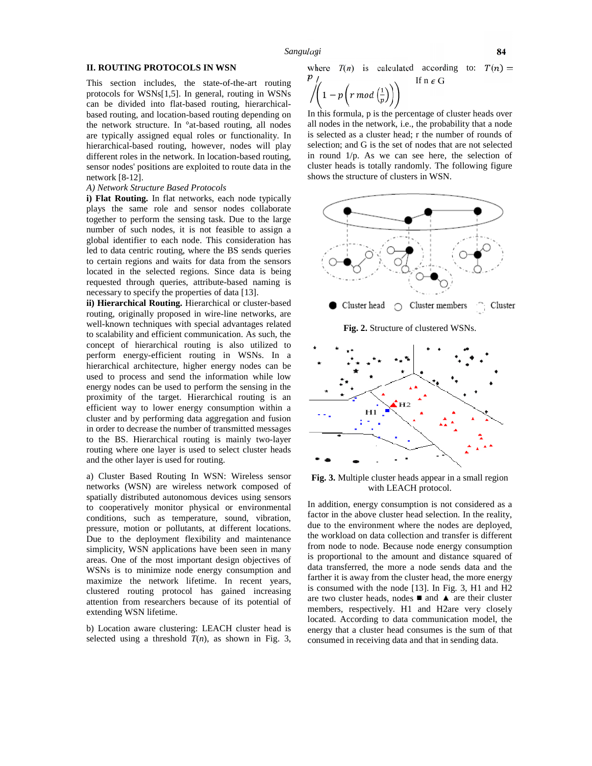## **II. ROUTING PROTOCOLS IN WSN**

This section includes, the state-of-the-art routing protocols for WSNs[1,5]. In general, routing in WSNs can be divided into flat-based routing, hierarchical based routing, and location-based routing depending on the network structure. In °at-based routing, all nodes are typically assigned equal roles or functionality. In hierarchical-based routing, however, nodes will play different roles in the network. In location-based routing, sensor nodes' positions are exploited to route data in the network [8-12].

# *A) Network Structure Based Protocols*

**i) Flat Routing.** In flat networks, each node typically plays the same role and sensor nodes collaborate together to perform the sensing task. Due to the large number of such nodes, it is not feasible to assign a global identifier to each node. This consideration has led to data centric routing, where the BS sends queries to certain regions and waits for data from the sensors located in the selected regions. Since data is being requested through queries, attribute-based naming is necessary to specify the properties of data [13].

**ii) Hierarchical Routing.** Hierarchical or cluster-based routing, originally proposed in wire-line networks, are well-known techniques with special advantages related to scalability and efficient communication. As such, the concept of hierarchical routing is also utilized to perform energy-efficient routing in WSNs. In a hierarchical architecture, higher energy nodes can be used to process and send the information while low energy nodes can be used to perform the sensing in the proximity of the target. Hierarchical routing is an efficient way to lower energy consumption within a cluster and by performing data aggregation and fusion in order to decrease the number of transmitted messages to the BS. Hierarchical routing is mainly two-layer routing where one layer is used to select cluster heads and the other layer is used for routing.

a) Cluster Based Routing In WSN: Wireless sensor networks (WSN) are wireless network composed of spatially distributed autonomous devices using sensors to cooperatively monitor physical or environmental conditions, such as temperature, sound, vibration, pressure, motion or pollutants, at different locations. Due to the deployment flexibility and maintenance simplicity, WSN applications have been seen in many areas. One of the most important design objectives of WSNs is to minimize node energy consumption and maximize the network lifetime. In recent years, clustered routing protocol has gained increasing attention from researchers because of its potential of extending WSN lifetime.

b) Location aware clustering: LEACH cluster head is selected using a threshold  $T(n)$ , as shown in Fig. 3,

where 
$$
T(n)
$$
 is calculated according to:  $T(n) =$   
 $P \Big|_{\ell}$  If  $n \in G$ 

$$
\left(\left(1-p\left(r\ mod\left(\frac{1}{p}\right)\right)\right)\right)
$$

In this formula, p is the percentage of cluster heads over all nodes in the network, i.e., the probability that a node is selected as a cluster head; r the number of rounds of selection; and G is the set of nodes that are not selected in round 1/p. As we can see here, the selection of cluster heads is totally randomly. The following figure shows the structure of clusters in WSN.





**Fig. 3.** Multiple cluster heads appear in a small region with LEACH protocol.

In addition, energy consumption is not considered as a factor in the above cluster head selection. In the reality, due to the environment where the nodes are deployed, the workload on data collection and transfer is different from node to node. Because node energy consumption is proportional to the amount and distance squared of data transferred, the more a node sends data and the farther it is away from the cluster head, the more energy is consumed with the node [13]. In Fig. 3, H1 and H2 are two cluster heads, nodes and are their cluster members, respectively. H1 and H2are very closely located. According to data communication model, the energy that a cluster head consumes is the sum of that consumed in receiving data and that in sending data.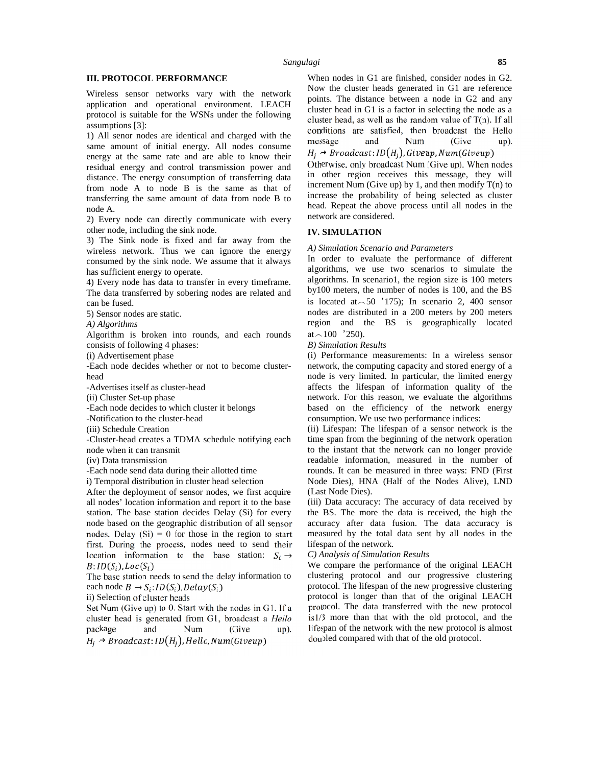## **III. PROTOCOL PERFORMANCE**

Wireless sensor networks vary with the network application and operational environment. LEACH protocol is suitable for the WSNs under the following assumptions [3]:

1) All senor nodes are identical and charged with the same amount of initial energy. All nodes consume energy at the same rate and are able to know their residual energy and control transmission power and distance. The energy consumption of transferring data from node A to node B is the same as that of transferring the same amount of data from node B to node A.

2) Every node can directly communicate with every other node, including the sink node.

3) The Sink node is fixed and far away from the wireless network. Thus we can ignore the energy consumed by the sink node. We assume that it always has sufficient energy to operate.

4) Every node has data to transfer in every timeframe. The data transferred by sobering nodes are related and can be fused.

5) Sensor nodes are static.

*A) Algorithms*

Algorithm is broken into rounds, and each rounds consists of following 4 phases:

(i) Advertisement phase

-Each node decides whether or not to become cluster head

-Advertises itself as cluster-head

(ii) Cluster Set-up phase

-Each node decides to which cluster it belongs

-Notification to the cluster-head

(iii) Schedule Creation

-Cluster-head creates a TDMA schedule notifying each node when it can transmit

(iv) Data transmission

-Each node send data during their allotted time

i) Temporal distribution in cluster head selection

After the deployment of sensor nodes, we first acquire all nodes' location information and report it to the base station. The base station decides Delay (Si) for every node based on the geographic distribution of all sensor nodes. Delay  $(S_i) = 0$  for those in the region to start first. During the process, nodes need to send their location information to the base station:  $S_i \rightarrow$  $B: ID(S_i), Loc(S_i)$ 

The base station needs to send the delay information to each node  $B \to S_i$ :  $ID(S_i)$ ,  $Delay(S_i)$ 

ii) Selection of cluster heads

Set Num (Give up) to 0. Start with the nodes in G1. If a cluster head is generated from G1, broadcast a *Hello* package and Num (Give up).  $H_i$  · Broadcast: ID( $H_i$ ), Hello, Num(Giveup)

When nodes in G1 are finished, consider nodes in G2. Now the cluster heads generated in G1 are reference points. The distance between a node in G2 and any cluster head in G1 is a factor in selecting the node as a cluster head, as well as the random value of  $T(n)$ . If all conditions are satisfied, then broadcast the Hello message and Num (Give up).  $H_i$  Broadcast: ID(H<sub>i</sub>), Giveup, Num(Giveup)

Otherwise, only broadcast Num (Give up). When nodes in other region receives this message, they will increment Num (Give up) by 1, and then modify  $T(n)$  to increase the probability of being selected as cluster head. Repeat the above process until all nodes in the network are considered.

### **IV. SIMULATION**

#### *A) Simulation Scenario and Parameters*

In order to evaluate the performance of different algorithms, we use two scenarios to simulate the algorithms. In scenario1, the region size is 100 meters by100 meters, the number of nodes is 100, and the BS is located at  $\sim$  50  $'$ 175); In scenario 2, 400 sensor nodes are distributed in a 200 meters by 200 meters region and the BS is geographically located at $\sim$ 100 $'250$ ).

*B) Simulation Results*

(i) Performance measurements: In a wireless sensor network, the computing capacity and stored energy of a node is very limited. In particular, the limited energy affects the lifespan of information quality of the network. For this reason, we evaluate the algorithms based on the efficiency of the network energy consumption. We use two performance indices:

(ii) Lifespan: The lifespan of a sensor network is the time span from the beginning of the network operation to the instant that the network can no longer provide readable information, measured in the number of rounds. It can be measured in three ways: FND (First Node Dies), HNA (Half of the Nodes Alive), LND (Last Node Dies).

(iii) Data accuracy: The accuracy of data received by the BS. The more the data is received, the high the accuracy after data fusion. The data accuracy is measured by the total data sent by all nodes in the lifespan of the network.

*C) Analysis of Simulation Results*

We compare the performance of the original LEACH clustering protocol and our progressive clustering protocol. The lifespan of the new progressive clustering protocol is longer than that of the original LEACH protocol. The data transferred with the new protocol is1/3 more than that with the old protocol, and the lifespan of the network with the new protocol is almost doubled compared with that of the old protocol.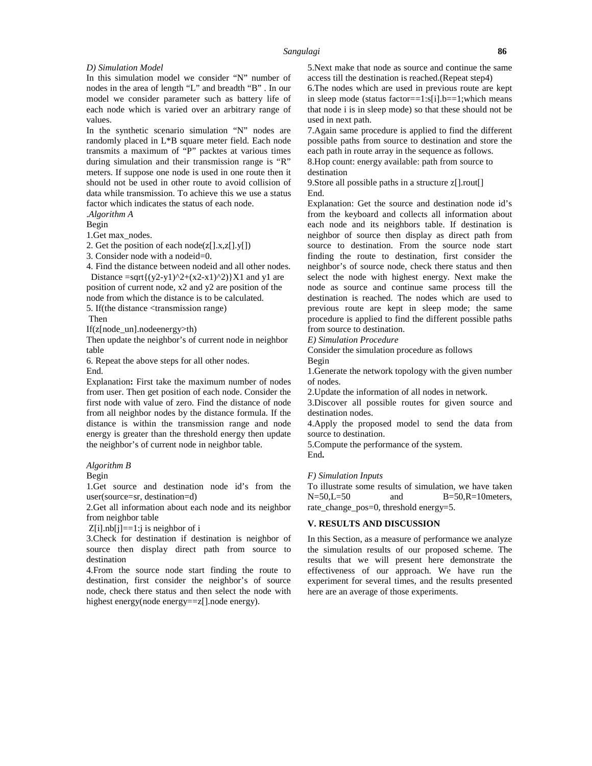*D) Simulation Model*

In this simulation model we consider "N" number of nodes in the area of length "L" and breadth "B" . In our model we consider parameter such as battery life of each node which is varied over an arbitrary range of values.

In the synthetic scenario simulation "N" nodes are randomly placed in L\*B square meter field. Each node transmits a maximum of "P" packtes at various times during simulation and their transmission range is "R" meters. If suppose one node is used in one route then it should not be used in other route to avoid collision of data while transmission. To achieve this we use a status factor which indicates the status of each node.

.*Algorithm A*

Begin

1.Get max\_nodes.

2. Get the position of each node $(z[1.x,z[1.y[1])$ 

3. Consider node with a nodeid=0.

4. Find the distance between nodeid and all other nodes. Distance =sqrt $\{(y2-y1)^2 + (x2-x1)^2\}X1$  and y1 are position of current node, x2 and y2 are position of the node from which the distance is to be calculated.

5. If(the distance <transmission range)

Then

If(z[node\_un].nodeenergy>th)

Then update the neighbor's of current node in neighbor table

6. Repeat the above steps for all other nodes. End.

Explanation**:** First take the maximum number of nodes from user. Then get position of each node. Consider the first node with value of zero. Find the distance of node from all neighbor nodes by the distance formula. If the distance is within the transmission range and node energy is greater than the threshold energy then update the neighbor's of current node in neighbor table.

#### *Algorithm B*

Begin

1.Get source and destination node id's from the user(source=sr, destination=d)

2.Get all information about each node and its neighbor from neighbor table

 $Z[i].nb[i]=1:j$  is neighbor of i

3.Check for destination if destination is neighbor of source then display direct path from source to destination

4.From the source node start finding the route to destination, first consider the neighbor's of source node, check there status and then select the node with highest energy(node energy==z[].node energy).

5.Next make that node as source and continue the same access till the destination is reached.(Repeat step4)

6.The nodes which are used in previous route are kept in sleep mode (status factor==1:s[i].b==1;which means that node i is in sleep mode) so that these should not be used in next path.

7.Again same procedure is applied to find the different possible paths from source to destination and store the each path in route array in the sequence as follows.

8.Hop count: energy available: path from source to destination

9.Store all possible paths in a structure z[].rout[] End.

Explanation: Get the source and destination node id's from the keyboard and collects all information about each node and its neighbors table. If destination is neighbor of source then display as direct path from source to destination. From the source node start finding the route to destination, first consider the neighbor's of source node, check there status and then select the node with highest energy. Next make the node as source and continue same process till the destination is reached. The nodes which are used to previous route are kept in sleep mode; the same procedure is applied to find the different possible paths from source to destination.

*E) Simulation Procedure*

Consider the simulation procedure as follows

Begin

1.Generate the network topology with the given number of nodes.

2.Update the information of all nodes in network.

3.Discover all possible routes for given source and destination nodes.

4.Apply the proposed model to send the data from source to destination.

5.Compute the performance of the system.

End**.**

*F) Simulation Inputs*

To illustrate some results of simulation, we have taken  $N=50$ ,  $L=50$  and  $B=50$ ,  $R=10$  meters, rate change pos=0, threshold energy=5.

#### **V. RESULTS AND DISCUSSION**

In this Section, as a measure of performance we analyze the simulation results of our proposed scheme. The results that we will present here demonstrate the effectiveness of our approach. We have run the experiment for several times, and the results presented here are an average of those experiments.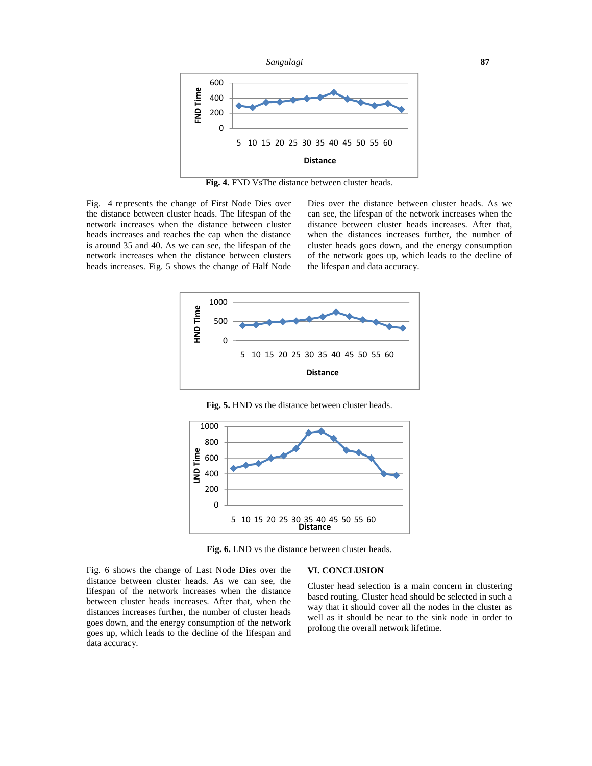

**Fig. 4.** FND VsThe distance between cluster heads.

Fig. 4 represents the change of First Node Dies over the distance between cluster heads. The lifespan of the network increases when the distance between cluster heads increases and reaches the cap when the distance is around 35 and 40. As we can see, the lifespan of the network increases when the distance between clusters heads increases. Fig. 5 shows the change of Half Node Dies over the distance between cluster heads. As we can see, the lifespan of the network increases when the distance between cluster heads increases. After that, when the distances increases further, the number of cluster heads goes down, and the energy consumption of the network goes up, which leads to the decline of the lifespan and data accuracy.



**Fig. 5.** HND vs the distance between cluster heads.



**Fig. 6.** LND vs the distance between cluster heads.

Fig. 6 shows the change of Last Node Dies over the distance between cluster heads. As we can see, the lifespan of the network increases when the distance between cluster heads increases. After that, when the distances increases further, the number of cluster heads goes down, and the energy consumption of the network goes up, which leads to the decline of the lifespan and data accuracy.

#### **VI. CONCLUSION**

Cluster head selection is a main concern in clustering based routing. Cluster head should be selected in such a way that it should cover all the nodes in the cluster as well as it should be near to the sink node in order to prolong the overall network lifetime.